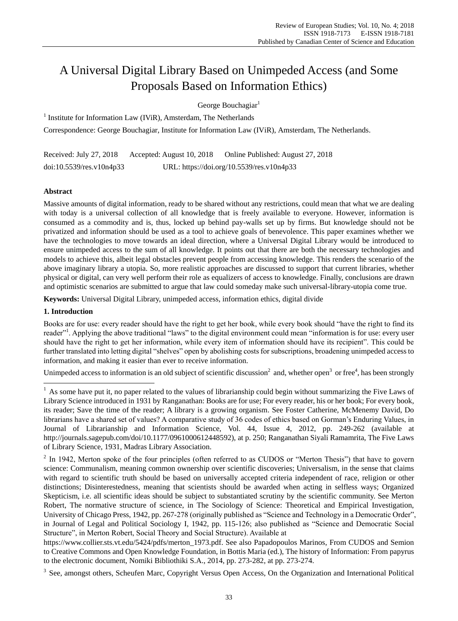# A Universal Digital Library Based on Unimpeded Access (and Some Proposals Based on Information Ethics)

George Bouchagiar<sup>1</sup>

<sup>1</sup> Institute for Information Law (IViR), Amsterdam, The Netherlands

Correspondence: George Bouchagiar, Institute for Information Law (IViR), Amsterdam, The Netherlands.

Received: July 27, 2018 Accepted: August 10, 2018 Online Published: August 27, 2018 doi:10.5539/res.v10n4p33 URL: https://doi.org/10.5539/res.v10n4p33

## **Abstract**

Massive amounts of digital information, ready to be shared without any restrictions, could mean that what we are dealing with today is a universal collection of all knowledge that is freely available to everyone. However, information is consumed as a commodity and is, thus, locked up behind pay-walls set up by firms. But knowledge should not be privatized and information should be used as a tool to achieve goals of benevolence. This paper examines whether we have the technologies to move towards an ideal direction, where a Universal Digital Library would be introduced to ensure unimpeded access to the sum of all knowledge. It points out that there are both the necessary technologies and models to achieve this, albeit legal obstacles prevent people from accessing knowledge. This renders the scenario of the above imaginary library a utopia. So, more realistic approaches are discussed to support that current libraries, whether physical or digital, can very well perform their role as equalizers of access to knowledge. Finally, conclusions are drawn and optimistic scenarios are submitted to argue that law could someday make such universal-library-utopia come true.

**Keywords:** Universal Digital Library, unimpeded access, information ethics, digital divide

#### **1. Introduction**

 $\overline{a}$ 

Books are for use: every reader should have the right to get her book, while every book should "have the right to find its reader"<sup>1</sup>. Applying the above traditional "laws" to the digital environment could mean "information is for use: every user should have the right to get her information, while every item of information should have its recipient". This could be further translated into letting digital "shelves" open by abolishing costs for subscriptions, broadening unimpeded access to information, and making it easier than ever to receive information.

Unimpeded access to information is an old subject of scientific discussion<sup>2</sup> and, whether open<sup>3</sup> or free<sup>4</sup>, has been strongly

 $<sup>1</sup>$  As some have put it, no paper related to the values of librarianship could begin without summarizing the Five Laws of</sup> Library Science introduced in 1931 by Ranganathan: Books are for use; For every reader, his or her book; For every book, its reader; Save the time of the reader; A library is a growing organism. See Foster Catherine, McMenemy David, Do librarians have a shared set of values? A comparative study of 36 codes of ethics based on Gorman's Enduring Values, in Journal of Librarianship and Information Science, Vol. 44, Issue 4, 2012, pp. 249-262 (available at http://journals.sagepub.com/doi/10.1177/0961000612448592), at p. 250; Ranganathan Siyali Ramamrita, The Five Laws of Library Science, 1931, Madras Library Association.

 $2 \text{ In } 1942$ , Merton spoke of the four principles (often referred to as CUDOS or "Merton Thesis") that have to govern science: Communalism, meaning common ownership over scientific discoveries; Universalism, in the sense that claims with regard to scientific truth should be based on universally accepted criteria independent of race, religion or other distinctions; Disinterestedness, meaning that scientists should be awarded when acting in selfless ways; Organized Skepticism, i.e. all scientific ideas should be subject to substantiated scrutiny by the scientific community. See Merton Robert, The normative structure of science, in The Sociology of Science: Theoretical and Empirical Investigation, University of Chicago Press, 1942, pp. 267-278 (originally published as "Science and Technology in a Democratic Order", in Journal of Legal and Political Sociology I, 1942, pp. 115-126; also published as "Science and Democratic Social Structure", in Merton Robert, Social Theory and Social Structure). Available at

https://www.collier.sts.vt.edu/5424/pdfs/merton\_1973.pdf. See also Papadopoulos Marinos, From CUDOS and Semion to Creative Commons and Open Knowledge Foundation, in Bottis Maria (ed.), The history of Information: From papyrus to the electronic document, Nomiki Bibliothiki S.A., 2014, pp. 273-282, at pp. 273-274.

<sup>&</sup>lt;sup>3</sup> See, amongst others, Scheufen Marc, Copyright Versus Open Access, On the Organization and International Political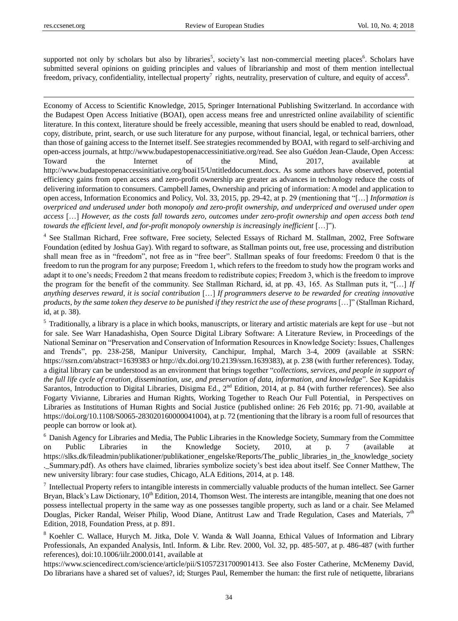supported not only by scholars but also by libraries<sup>5</sup>, society's last non-commercial meeting places<sup>6</sup>. Scholars have submitted several opinions on guiding principles and values of librarianship and most of them mention intellectual freedom, privacy, confidentiality, intellectual property<sup>7</sup> rights, neutrality, preservation of culture, and equity of access<sup>8</sup>.

Economy of Access to Scientific Knowledge, 2015, Springer International Publishing Switzerland. In accordance with the Budapest Open Access Initiative (BOAI), open access means free and unrestricted online availability of scientific literature. In this context, literature should be freely accessible, meaning that users should be enabled to read, download, copy, distribute, print, search, or use such literature for any purpose, without financial, legal, or technical barriers, other than those of gaining access to the Internet itself. See strategies recommended by BOAI, with regard to self-archiving and open-access journals, at http://www.budapestopenaccessinitiative.org/read. See also Guédon Jean-Claude, Open Access: Toward the Internet of the Mind, 2017, available at http://www.budapestopenaccessinitiative.org/boai15/Untitleddocument.docx. As some authors have observed, potential efficiency gains from open access and zero-profit ownership are greater as advances in technology reduce the costs of delivering information to consumers. Campbell James, Ownership and pricing of information: A model and application to open access, Information Economics and Policy, Vol. 33, 2015, pp. 29-42, at p. 29 (mentioning that "[…] *Information is overpriced and underused under both monopoly and zero-profit ownership, and underpriced and overused under open access* […] *However, as the costs fall towards zero, outcomes under zero-profit ownership and open access both tend towards the efficient level, and for-profit monopoly ownership is increasingly inefficient* […]").

<sup>4</sup> See Stallman Richard, Free software, Free society, Selected Essays of Richard M. Stallman, 2002, Free Software Foundation (edited by Joshua Gay). With regard to software, as Stallman points out, free use, processing and distribution shall mean free as in "freedom", not free as in "free beer". Stallman speaks of four freedoms: Freedom 0 that is the freedom to run the program for any purpose; Freedom 1, which refers to the freedom to study how the program works and adapt it to one's needs; Freedom 2 that means freedom to redistribute copies; Freedom 3, which is the freedom to improve the program for the benefit of the community. See Stallman Richard, id, at pp. 43, 165. As Stallman puts it, "[…] *If anything deserves reward, it is social contribution* […] *If programmers deserve to be rewarded for creating innovative products, by the same token they deserve to be punished if they restrict the use of these programs* […]" (Stallman Richard, id, at p. 38).

<sup>5</sup> Traditionally, a library is a place in which books, manuscripts, or literary and artistic materials are kept for use –but not for sale. See Warr Hanadashisha, Open Source Digital Library Software: A Literature Review, in Proceedings of the National Seminar on "Preservation and Conservation of Information Resources in Knowledge Society: Issues, Challenges and Trends", pp. 238-258, Manipur University, Canchipur, Imphal, March 3-4, 2009 (available at SSRN: https://ssrn.com/abstract=1639383 or http://dx.doi.org/10.2139/ssrn.1639383), at p. 238 (with further references). Today, a digital library can be understood as an environment that brings together "*collections, services, and people in support of the full life cycle of creation, dissemination, use, and preservation of data, information, and knowledge*". See Kapidakis Sarantos, Introduction to Digital Libraries, Disigma Ed., 2<sup>nd</sup> Edition, 2014, at p. 84 (with further references). See also Fogarty Vivianne, Libraries and Human Rights, Working Together to Reach Our Full Potential, in Perspectives on Libraries as Institutions of Human Rights and Social Justice (published online: 26 Feb 2016; pp. 71-90, available at https://doi.org/10.1108/S0065-283020160000041004), at p. 72 (mentioning that the library is a room full of resources that people can borrow or look at).

<sup>6</sup> Danish Agency for Libraries and Media, The Public Libraries in the Knowledge Society, Summary from the Committee on Public Libraries in the Knowledge Society, 2010, at p. 7 (available at https://slks.dk/fileadmin/publikationer/publikationer\_engelske/Reports/The\_public\_libraries\_in\_the\_knowledge\_society .\_Summary.pdf). As others have claimed, libraries symbolize society's best idea about itself. See Conner Matthew, The new university library: four case studies, Chicago, ALA Editions, 2014, at p. 148.

 $<sup>7</sup>$  Intellectual Property refers to intangible interests in commercially valuable products of the human intellect. See Garner</sup> Bryan, Black's Law Dictionary, 10<sup>th</sup> Edition, 2014, Thomson West. The interests are intangible, meaning that one does not possess intellectual property in the same way as one possesses tangible property, such as land or a chair. See Melamed Douglas, Picker Randal, Weiser Philip, Wood Diane, Antitrust Law and Trade Regulation, Cases and Materials,  $7<sup>th</sup>$ Edition, 2018, Foundation Press, at p. 891.

<sup>8</sup> Koehler C. Wallace, Hurych M. Jitka, Dole V. Wanda & Wall Joanna, Ethical Values of Information and Library Professionals, An expanded Analysis, Intl. Inform. & Libr. Rev. 2000, Vol. 32, pp. 485-507, at p. 486-487 (with further references), doi:10.1006/iilr.2000.0141, available at

https://www.sciencedirect.com/science/article/pii/S1057231700901413. See also Foster Catherine, McMenemy David, Do librarians have a shared set of values?, id; Sturges Paul, Remember the human: the first rule of netiquette, librarians

34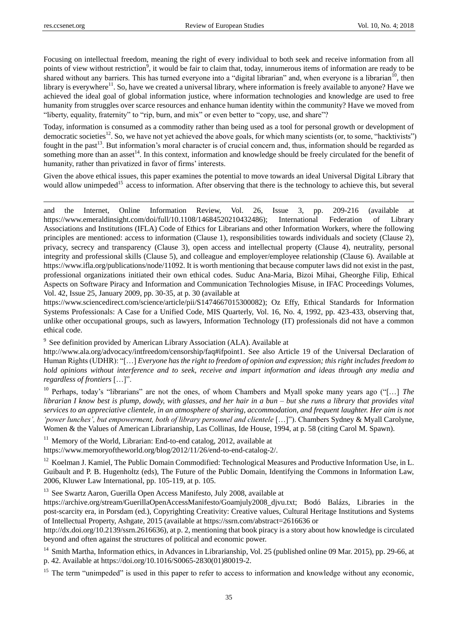Focusing on intellectual freedom, meaning the right of every individual to both seek and receive information from all points of view without restriction<sup>9</sup>, it would be fair to claim that, today, innumerous items of information are ready to be shared without any barriers. This has turned everyone into a "digital librarian" and, when everyone is a librarian<sup>10</sup>, then library is everywhere<sup>11</sup>. So, have we created a universal library, where information is freely available to anyone? Have we achieved the ideal goal of global information justice, where information technologies and knowledge are used to free humanity from struggles over scarce resources and enhance human identity within the community? Have we moved from "liberty, equality, fraternity" to "rip, burn, and mix" or even better to "copy, use, and share"?

Today, information is consumed as a commodity rather than being used as a tool for personal growth or development of democratic societies<sup>12</sup>. So, we have not yet achieved the above goals, for which many scientists (or, to some, "hacktivists") fought in the past<sup>13</sup>. But information's moral character is of crucial concern and, thus, information should be regarded as something more than an asset<sup>14</sup>. In this context, information and knowledge should be freely circulated for the benefit of humanity, rather than privatized in favor of firms' interests.

Given the above ethical issues, this paper examines the potential to move towards an ideal Universal Digital Library that would allow unimpeded<sup>15</sup> access to information. After observing that there is the technology to achieve this, but several

and the Internet, Online Information Review, Vol. 26, Issue 3, pp. 209-216 (available at https://www.emeraldinsight.com/doi/full/10.1108/14684520210432486); International Federation of Library Associations and Institutions (IFLA) Code of Ethics for Librarians and other Information Workers, where the following principles are mentioned: access to information (Clause 1), responsibilities towards individuals and society (Clause 2), privacy, secrecy and transparency (Clause 3), open access and intellectual property (Clause 4), neutrality, personal integrity and professional skills (Clause 5), and colleague and employer/employee relationship (Clause 6). Available at https://www.ifla.org/publications/node/11092. It is worth mentioning that because computer laws did not exist in the past, professional organizations initiated their own ethical codes. Suduc Ana-Maria, Bizoi Mihai, Gheorghe Filip, Ethical Aspects on Software Piracy and Information and Communication Technologies Misuse, in IFAC Proceedings Volumes, Vol. 42, Issue 25, January 2009, pp. 30-35, at p. 30 (available at

https://www.sciencedirect.com/science/article/pii/S1474667015300082); Oz Effy, Ethical Standards for Information Systems Professionals: A Case for a Unified Code, MIS Quarterly, Vol. 16, No. 4, 1992, pp. 423-433, observing that, unlike other occupational groups, such as lawyers, Information Technology (IT) professionals did not have a common ethical code.

<sup>9</sup> See definition provided by American Library Association (ALA). Available at

http://www.ala.org/advocacy/intfreedom/censorship/faq#ifpoint1. See also Article 19 of the Universal Declaration of Human Rights (UDHR): "[…] *Everyone has the right to freedom of opinion and expression; this right includes freedom to hold opinions without interference and to seek, receive and impart information and ideas through any media and regardless of frontiers* […]".

<sup>10</sup> Perhaps, today's "librarians" are not the ones, of whom Chambers and Myall spoke many years ago ("[...] The *librarian I know best is plump, dowdy, with glasses, and her hair in a bun – but she runs a library that provides vital services to an appreciative clientele, in an atmosphere of sharing, accommodation, and frequent laughter. Her aim is not*  'power lunches', but empowerment, both of library personnel and clientele [...]"). Chambers Sydney & Myall Carolyne, Women & the Values of American Librarianship, Las Collinas, Ide House, 1994, at p. 58 (citing Carol M. Spawn).

<sup>11</sup> Memory of the World, Librarian: End-to-end catalog, 2012, available at https://www.memoryoftheworld.org/blog/2012/11/26/end-to-end-catalog-2/.

<sup>12</sup> Koelman J. Kamiel, The Public Domain Commodified: Technological Measures and Productive Information Use, in L. Guibault and P. B. Hugenholtz (eds), The Future of the Public Domain, Identifying the Commons in Information Law, 2006, Kluwer Law International, pp. 105-119, at p. 105.

<sup>13</sup> See Swartz Aaron, Guerilla Open Access Manifesto, July 2008, available at

https://archive.org/stream/GuerillaOpenAccessManifesto/Goamjuly2008\_djvu.txt; Bodó Balázs, Libraries in the post-scarcity era, in Porsdam (ed.), Copyrighting Creativity: Creative values, Cultural Heritage Institutions and Systems of Intellectual Property, Ashgate, 2015 (available at https://ssrn.com/abstract=2616636 or

http://dx.doi.org/10.2139/ssrn.2616636), at p. 2, mentioning that book piracy is a story about how knowledge is circulated beyond and often against the structures of political and economic power.

<sup>14</sup> Smith Martha, Information ethics, in Advances in Librarianship, Vol. 25 (published online 09 Mar. 2015), pp. 29-66, at p. 42. Available at https://doi.org/10.1016/S0065-2830(01)80019-2.

 $15$  The term "unimpeded" is used in this paper to refer to access to information and knowledge without any economic,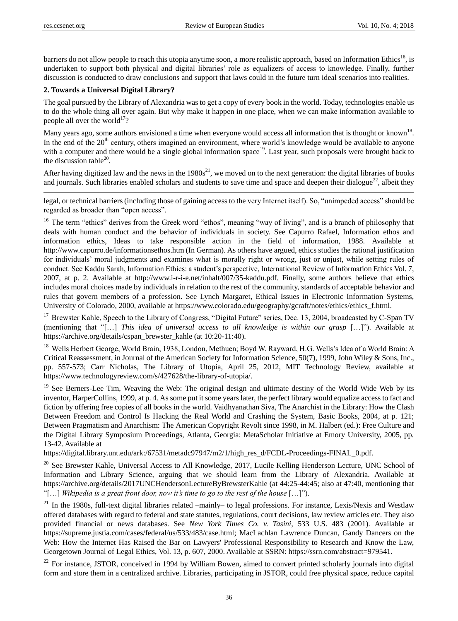barriers do not allow people to reach this utopia anytime soon, a more realistic approach, based on Information Ethics<sup>16</sup>, is undertaken to support both physical and digital libraries' role as equalizers of access to knowledge. Finally, further discussion is conducted to draw conclusions and support that laws could in the future turn ideal scenarios into realities.

## **2. Towards a Universal Digital Library?**

The goal pursued by the Library of Alexandria was to get a copy of every book in the world. Today, technologies enable us to do the whole thing all over again. But why make it happen in one place, when we can make information available to people all over the world<sup>17</sup>?

Many years ago, some authors envisioned a time when everyone would access all information that is thought or known<sup>18</sup>. In the end of the  $20<sup>th</sup>$  century, others imagined an environment, where world's knowledge would be available to anyone with a computer and there would be a single global information space<sup>19</sup>. Last year, such proposals were brought back to the discussion table $^{20}$ .

After having digitized law and the news in the  $1980s<sup>21</sup>$ , we moved on to the next generation: the digital libraries of books and journals. Such libraries enabled scholars and students to save time and space and deepen their dialogue $^{22}$ , albeit they

legal, or technical barriers (including those of gaining access to the very Internet itself). So, "unimpeded access" should be regarded as broader than "open access".

<sup>16</sup> The term "ethics" derives from the Greek word "ethos", meaning "way of living", and is a branch of philosophy that deals with human conduct and the behavior of individuals in society. See Capurro Rafael, Information ethos and information ethics, Ideas to take responsible action in the field of information, 1988. Available at http://www.capurro.de/informationsethos.htm (In German). As others have argued, ethics studies the rational justification for individuals' moral judgments and examines what is morally right or wrong, just or unjust, while setting rules of conduct. See Kaddu Sarah, Information Ethics: a student's perspective, International Review of Information Ethics Vol. 7, 2007, at p. 2. Available at http://www.i-r-i-e.net/inhalt/007/35-kaddu.pdf. Finally, some authors believe that ethics includes moral choices made by individuals in relation to the rest of the community, standards of acceptable behavior and rules that govern members of a profession. See Lynch Margaret, Ethical Issues in Electronic Information Systems, University of Colorado, 2000, available at https://www.colorado.edu/geography/gcraft/notes/ethics/ethics\_f.html.

<sup>17</sup> Brewster Kahle, Speech to the Library of Congress, "Digital Future" series, Dec. 13, 2004, broadcasted by C-Span TV (mentioning that "[…] *This idea of universal access to all knowledge is within our grasp* […]"). Available at https://archive.org/details/cspan\_brewster\_kahle (at 10:20-11:40).

<sup>18</sup> Wells Herbert George, World Brain, 1938, London, Methuen; Boyd W. Rayward, H.G. Wells's Idea of a World Brain: A Critical Reassessment, in Journal of the American Society for Information Science, 50(7), 1999, John Wiley & Sons, Inc., pp. 557-573; Carr Nicholas, The Library of Utopia, April 25, 2012, MIT Technology Review, available at https://www.technologyreview.com/s/427628/the-library-of-utopia/.

<sup>19</sup> See Berners-Lee Tim, Weaving the Web: The original design and ultimate destiny of the World Wide Web by its inventor, HarperCollins, 1999, at p. 4. As some put it some years later, the perfect library would equalize access to fact and fiction by offering free copies of all books in the world. Vaidhyanathan Siva, The Anarchist in the Library: How the Clash Between Freedom and Control Is Hacking the Real World and Crashing the System, Basic Books, 2004, at p. 121; Between Pragmatism and Anarchism: The American Copyright Revolt since 1998, in M. Halbert (ed.): Free Culture and the Digital Library Symposium Proceedings, Atlanta, Georgia: MetaScholar Initiative at Emory University, 2005, pp. 13-42. Available at

https://digital.library.unt.edu/ark:/67531/metadc97947/m2/1/high\_res\_d/FCDL-Proceedings-FINAL\_0.pdf.

<sup>20</sup> See Brewster Kahle, Universal Access to All Knowledge, 2017, Lucile Kelling Henderson Lecture, UNC School of Information and Library Science, arguing that we should learn from the Library of Alexandria. Available at https://archive.org/details/2017UNCHendersonLectureByBrewsterKahle (at 44:25-44:45; also at 47:40, mentioning that "[…] *Wikipedia is a great front door, now it's time to go to the rest of the house* […]").

 $^{21}$  In the 1980s, full-text digital libraries related –mainly– to legal professions. For instance, Lexis/Nexis and Westlaw offered databases with regard to federal and state statutes, regulations, court decisions, law review articles etc. They also provided financial or news databases. See *New York Times Co. v. Tasini,* 533 U.S. 483 (2001). Available at https://supreme.justia.com/cases/federal/us/533/483/case.html; MacLachlan Lawrence Duncan, Gandy Dancers on the Web: How the Internet Has Raised the Bar on Lawyers' Professional Responsibility to Research and Know the Law, Georgetown Journal of Legal Ethics, Vol. 13, p. 607, 2000. Available at SSRN: https://ssrn.com/abstract=979541.

<sup>22</sup> For instance, JSTOR, conceived in 1994 by William Bowen, aimed to convert printed scholarly journals into digital form and store them in a centralized archive. Libraries, participating in JSTOR, could free physical space, reduce capital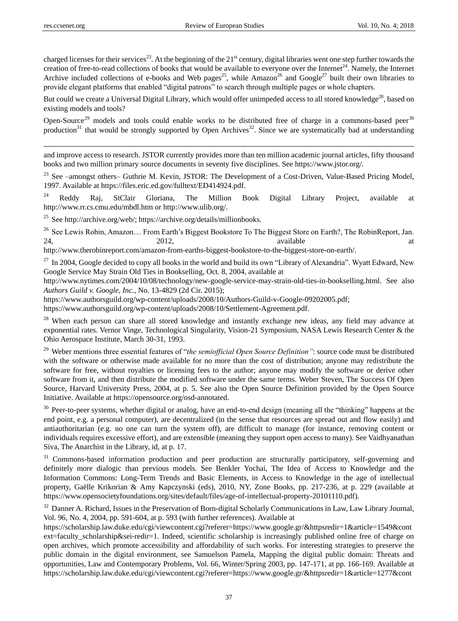charged licenses for their services<sup>23</sup>. At the beginning of the  $21<sup>st</sup>$  century, digital libraries went one step further towards the creation of free-to-read collections of books that would be available to everyone over the Internet<sup>24</sup>. Namely, the Internet Archive included collections of e-books and Web pages<sup>25</sup>, while Amazon<sup>26</sup> and Google<sup>27</sup> built their own libraries to provide elegant platforms that enabled "digital patrons" to search through multiple pages or whole chapters.

But could we create a Universal Digital Library, which would offer unimpeded access to all stored knowledge<sup>28</sup>, based on existing models and tools?

Open-Source<sup>29</sup> models and tools could enable works to be distributed free of charge in a commons-based peer<sup>30</sup> production<sup>31</sup> that would be strongly supported by Open Archives<sup>32</sup>. Since we are systematically bad at understanding

and improve access to research. JSTOR currently provides more than ten million academic journal articles, fifty thousand books and two million primary source documents in seventy five disciplines. See https://www.jstor.org/.

<sup>23</sup> See –amongst others– Guthrie M. Kevin, JSTOR: The Development of a Cost-Driven, Value-Based Pricing Model, 1997. Available at https://files.eric.ed.gov/fulltext/ED414924.pdf.

<sup>24</sup> Reddy Raj, StClair Gloriana, The Million Book Digital Library Project, available at http://www.rr.cs.cmu.edu/mbdl.htm or http://www.ulib.org/.

<sup>25</sup> See http://archive.org/web/; https://archive.org/details/millionbooks.

<sup>26</sup> See Lewis Robin, Amazon... From Earth's Biggest Bookstore To The Biggest Store on Earth?, The RobinReport, Jan.  $24,$  2012,  $2012,$  available at

http://www.therobinreport.com/amazon-from-earths-biggest-bookstore-to-the-biggest-store-on-earth/.

 $^{27}$  In 2004, Google decided to copy all books in the world and build its own "Library of Alexandria". Wyatt Edward, New Google Service May Strain Old Ties in Bookselling, Oct. 8, 2004, available at

http://www.nytimes.com/2004/10/08/technology/new-google-service-may-strain-old-ties-in-bookselling.html. See also *Authors Guild v. Google, Inc.*, No. 13-4829 (2d Cir. 2015);

https://www.authorsguild.org/wp-content/uploads/2008/10/Authors-Guild-v-Google-09202005.pdf;

https://www.authorsguild.org/wp-content/uploads/2008/10/Settlement-Agreement.pdf.

<sup>28</sup> When each person can share all stored knowledge and instantly exchange new ideas, any field may advance at exponential rates. Vernor Vinge, Technological Singularity, Vision-21 Symposium, NASA Lewis Research Center & the Ohio Aerospace Institute, March 30-31, 1993.

<sup>29</sup> Weber mentions three essential features of "*the semiofficial Open Source Definition*": source code must be distributed with the software or otherwise made available for no more than the cost of distribution; anyone may redistribute the software for free, without royalties or licensing fees to the author; anyone may modify the software or derive other software from it, and then distribute the modified software under the same terms. Weber Steven, The Success Of Open Source, Harvard University Press, 2004, at p. 5. See also the Open Source Definition provided by the Open Source Initiative. Available at https://opensource.org/osd-annotated.

 $30$  Peer-to-peer systems, whether digital or analog, have an end-to-end design (meaning all the "thinking" happens at the end point, e.g. a personal computer), are decentralized (in the sense that resources are spread out and flow easily) and antiauthoritarian (e.g. no one can turn the system off), are difficult to manage (for instance, removing content or individuals requires excessive effort), and are extensible (meaning they support open access to many). See Vaidhyanathan Siva, The Anarchist in the Library, id, at p. 17.

<sup>31</sup> Commons-based information production and peer production are structurally participatory, self-governing and definitely more dialogic than previous models. See Benkler Yochai, The Idea of Access to Knowledge and the Information Commons: Long-Term Trends and Basic Elements, in Access to Knowledge in the age of intellectual property, Gaëlle Krikorian & Amy Kapczynski (eds), 2010, NY, Zone Books, pp. 217-236, at p. 229 (available at https://www.opensocietyfoundations.org/sites/default/files/age-of-intellectual-property-20101110.pdf).

<sup>32</sup> Danner A. Richard, Issues in the Preservation of Born-digital Scholarly Communications in Law, Law Library Journal, Vol. 96, No. 4, 2004, pp. 591-604, at p. 593 (with further references). Available at

https://scholarship.law.duke.edu/cgi/viewcontent.cgi?referer=https://www.google.gr/&httpsredir=1&article=1549&cont ext=faculty\_scholarship&sei-redir=1. Indeed, scientific scholarship is increasingly published online free of charge on open archives, which promote accessibility and affordability of such works. For interesting strategies to preserve the public domain in the digital environment, see Samuelson Pamela, Mapping the digital public domain: Threats and opportunities, Law and Contemporary Problems, Vol. 66, Winter/Spring 2003, pp. 147-171, at pp. 166-169. Available at https://scholarship.law.duke.edu/cgi/viewcontent.cgi?referer=https://www.google.gr/&httpsredir=1&article=1277&cont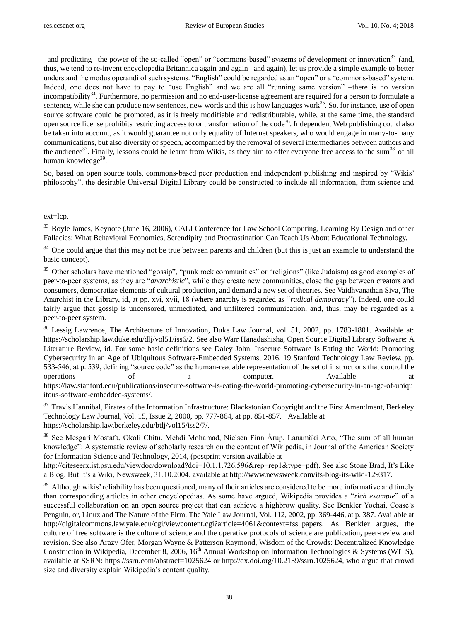–and predicting– the power of the so-called "open" or "commons-based" systems of development or innovation<sup>33</sup> (and, thus, we tend to re-invent encyclopedia Britannica again and again –and again), let us provide a simple example to better understand the modus operandi of such systems. "English" could be regarded as an "open" or a "commons-based" system. Indeed, one does not have to pay to "use English" and we are all "running same version" –there is no version incompatibility<sup>34</sup>. Furthermore, no permission and no end-user-license agreement are required for a person to formulate a sentence, while she can produce new sentences, new words and this is how languages work<sup>35</sup>. So, for instance, use of open source software could be promoted, as it is freely modifiable and redistributable, while, at the same time, the standard open source license prohibits restricting access to or transformation of the code<sup>36</sup>. Independent Web publishing could also be taken into account, as it would guarantee not only equality of Internet speakers, who would engage in many-to-many communications, but also diversity of speech, accompanied by the removal of several intermediaries between authors and the audience<sup>37</sup>. Finally, lessons could be learnt from Wikis, as they aim to offer everyone free access to the sum<sup>38</sup> of all human knowledge<sup>39</sup>.

So, based on open source tools, commons-based peer production and independent publishing and inspired by "Wikis' philosophy", the desirable Universal Digital Library could be constructed to include all information, from science and

ext=lcp.

 $\ddot{ }$ 

<sup>35</sup> Other scholars have mentioned "gossip", "punk rock communities" or "religions" (like Judaism) as good examples of peer-to-peer systems, as they are "*anarchistic*", while they create new communities, close the gap between creators and consumers, democratize elements of cultural production, and demand a new set of theories. See Vaidhyanathan Siva, The Anarchist in the Library, id, at pp. xvi, xvii, 18 (where anarchy is regarded as "*radical democracy*"). Indeed, one could fairly argue that gossip is uncensored, unmediated, and unfiltered communication, and, thus, may be regarded as a peer-to-peer system.

<sup>36</sup> Lessig Lawrence, The Architecture of Innovation, Duke Law Journal, vol. 51, 2002, pp. 1783-1801. Available at: https://scholarship.law.duke.edu/dlj/vol51/iss6/2. See also Warr Hanadashisha, Open Source Digital Library Software: A Literature Review, id. For some basic definitions see Daley John, Insecure Software Is Eating the World: Promoting Cybersecurity in an Age of Ubiquitous Software-Embedded Systems, 2016, 19 Stanford Technology Law Review, pp. 533-546, at p. 539, defining "source code" as the human-readable representation of the set of instructions that control the operations of a computer. Available at a computer operations at a computer at a computer at a computer at a computer at  $\alpha$ https://law.stanford.edu/publications/insecure-software-is-eating-the-world-promoting-cybersecurity-in-an-age-of-ubiqu itous-software-embedded-systems/.

<sup>37</sup> Travis Hannibal, Pirates of the Information Infrastructure: Blackstonian Copyright and the First Amendment, Berkeley Technology Law Journal, Vol. 15, Issue 2, 2000, pp. 777-864, at pp. 851-857. Available at https://scholarship.law.berkeley.edu/btlj/vol15/iss2/7/.

<sup>38</sup> See Mesgari Mostafa, Okoli Chitu, Mehdi Mohamad, Nielsen Finn Årup, Lanamäki Arto, "The sum of all human knowledge": A systematic review of scholarly research on the content of Wikipedia, in Journal of the American Society for Information Science and Technology, 2014, (postprint version available at

http://citeseerx.ist.psu.edu/viewdoc/download?doi=10.1.1.726.596&rep=rep1&type=pdf). See also Stone Brad, It's Like a Blog, But It's a Wiki, Newsweek, 31.10.2004, available at http://www.newsweek.com/its-blog-its-wiki-129317.

<sup>39</sup> Although wikis' reliability has been questioned, many of their articles are considered to be more informative and timely than corresponding articles in other encyclopedias. As some have argued, Wikipedia provides a "*rich example*" of a successful collaboration on an open source project that can achieve a highbrow quality. See Benkler Yochai, Coase's Penguin, or, Linux and The Nature of the Firm, The Yale Law Journal, Vol. 112, 2002, pp. 369-446, at p. 387. Available at http://digitalcommons.law.yale.edu/cgi/viewcontent.cgi?article=4061&context=fss\_papers. As Benkler argues, the culture of free software is the culture of science and the operative protocols of science are publication, peer-review and revision. See also Arazy Ofer, Morgan Wayne & Patterson Raymond, Wisdom of the Crowds: Decentralized Knowledge Construction in Wikipedia, December 8, 2006, 16<sup>th</sup> Annual Workshop on Information Technologies & Systems (WITS), available at SSRN: https://ssrn.com/abstract=1025624 or http://dx.doi.org/10.2139/ssrn.1025624, who argue that crowd size and diversity explain Wikipedia's content quality.

<sup>&</sup>lt;sup>33</sup> Boyle James, Keynote (June 16, 2006), CALI Conference for Law School Computing, Learning By Design and other Fallacies: What Behavioral Economics, Serendipity and Procrastination Can Teach Us About Educational Technology.

<sup>&</sup>lt;sup>34</sup> One could argue that this may not be true between parents and children (but this is just an example to understand the basic concept).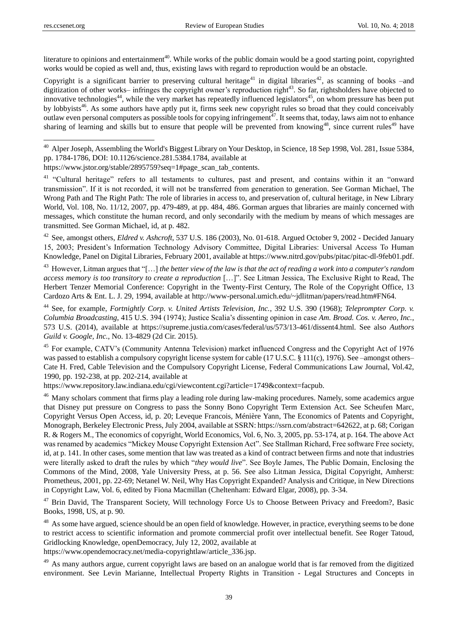literature to opinions and entertainment<sup>40</sup>. While works of the public domain would be a good starting point, copyrighted works would be copied as well and, thus, existing laws with regard to reproduction would be an obstacle.

Copyright is a significant barrier to preserving cultural heritage<sup>41</sup> in digital libraries<sup>42</sup>, as scanning of books –and digitization of other works– infringes the copyright owner's reproduction right<sup>43</sup>. So far, rightsholders have objected to innovative technologies<sup>44</sup>, while the very market has repeatedly influenced legislators<sup>45</sup>, on whom pressure has been put by lobbyists<sup>46</sup>. As some authors have aptly put it, firms seek new copyright rules so broad that they could conceivably outlaw even personal computers as possible tools for copying infringement $^{47}$ . It seems that, today, laws aim not to enhance sharing of learning and skills but to ensure that people will be prevented from knowing<sup>48</sup>, since current rules<sup>49</sup> have

<sup>41</sup> "Cultural heritage" refers to all testaments to cultures, past and present, and contains within it an "onward transmission". If it is not recorded, it will not be transferred from generation to generation. See Gorman Michael, The Wrong Path and The Right Path: The role of libraries in access to, and preservation of, cultural heritage, in New Library World, Vol. 108, No. 11/12, 2007, pp. 479-489, at pp. 484, 486. Gorman argues that libraries are mainly concerned with messages, which constitute the human record, and only secondarily with the medium by means of which messages are transmitted. See Gorman Michael, id, at p. 482.

<sup>42</sup> See, amongst others, *Eldred v. Ashcroft*, 537 U.S. 186 (2003), No. 01-618. Argued October 9, 2002 - Decided January 15, 2003; President's Information Technology Advisory Committee, Digital Libraries: Universal Access To Human Knowledge, Panel on Digital Libraries, February 2001, available at https://www.nitrd.gov/pubs/pitac/pitac-dl-9feb01.pdf.

<sup>43</sup> However, Litman argues that "[…] *the better view of the law is that the act of reading a work into a computer's random access memory is too transitory to create a reproduction* […]". See Litman Jessica, The Exclusive Right to Read, The Herbert Tenzer Memorial Conference: Copyright in the Twenty-First Century, The Role of the Copyright Office, 13 Cardozo Arts & Ent. L. J. 29, 1994, available at http://www-personal.umich.edu/~jdlitman/papers/read.htm#FN64.

<sup>44</sup> See, for example, *Fortnightly Corp. v. United Artists Television, Inc.*, 392 U.S. 390 (1968); *Teleprompter Corp. v. Columbia Broadcasting*, 415 U.S. 394 (1974); Justice Scalia's dissenting opinion in case *Am. Broad. Cos. v. Aereo, Inc.*, 573 U.S. (2014), available at https://supreme.justia.com/cases/federal/us/573/13-461/dissent4.html. See also *Authors Guild v. Google, Inc.*, No. 13-4829 (2d Cir. 2015).

<sup>45</sup> For example, CATV's (Community Antenna Television) market influenced Congress and the Copyright Act of 1976 was passed to establish a compulsory copyright license system for cable (17 U.S.C. § 111(c), 1976). See –amongst others– Cate H. Fred, Cable Television and the Compulsory Copyright License, Federal Communications Law Journal, Vol.42, 1990, pp. 192-238, at pp. 202-214, available at

https://www.repository.law.indiana.edu/cgi/viewcontent.cgi?article=1749&context=facpub.

<sup>46</sup> Many scholars comment that firms play a leading role during law-making procedures. Namely, some academics argue that Disney put pressure on Congress to pass the Sonny Bono Copyright Term Extension Act. See Scheufen Marc, Copyright Versus Open Access, id, p. 20; Leveque Francois, Ménière Yann, The Economics of Patents and Copyright, Monograph, Berkeley Electronic Press, July 2004, available at SSRN: https://ssrn.com/abstract=642622, at p. 68; Corigan R. & Rogers M., The economics of copyright, World Economics, Vol. 6, No. 3, 2005, pp. 53-174, at p. 164. The above Act was renamed by academics "Mickey Mouse Copyright Extension Act". See Stallman Richard, Free software Free society, id, at p. 141. In other cases, some mention that law was treated as a kind of contract between firms and note that industries were literally asked to draft the rules by which "*they would live*". See Boyle James, The Public Domain, Enclosing the Commons of the Mind, 2008, Yale University Press, at p. 56. See also Litman Jessica, Digital Copyright, Amherst: Prometheus, 2001, pp. 22-69; Netanel W. Neil, Why Has Copyright Expanded? Analysis and Critique, in New Directions in Copyright Law, Vol. 6, edited by Fiona Macmillan (Cheltenham: Edward Elgar, 2008), pp. 3-34.

<sup>47</sup> Brin David, The Transparent Society, Will technology Force Us to Choose Between Privacy and Freedom?, Basic Books, 1998, US, at p. 90.

<sup>48</sup> As some have argued, science should be an open field of knowledge. However, in practice, everything seems to be done to restrict access to scientific information and promote commercial profit over intellectual benefit. See Roger Tatoud, Gridlocking Knowledge, openDemocracy, July 12, 2002, available at

https://www.opendemocracy.net/media-copyrightlaw/article\_336.jsp.

<sup>49</sup> As many authors argue, current copyright laws are based on an analogue world that is far removed from the digitized environment. See Levin Marianne, Intellectual Property Rights in Transition - Legal Structures and Concepts in

 $^{40}$  Alper Joseph, Assembling the World's Biggest Library on Your Desktop, in Science, 18 Sep 1998, Vol. 281, Issue 5384, pp. 1784-1786, DOI: 10.1126/science.281.5384.1784, available at

https://www.jstor.org/stable/2895759?seq=1#page\_scan\_tab\_contents.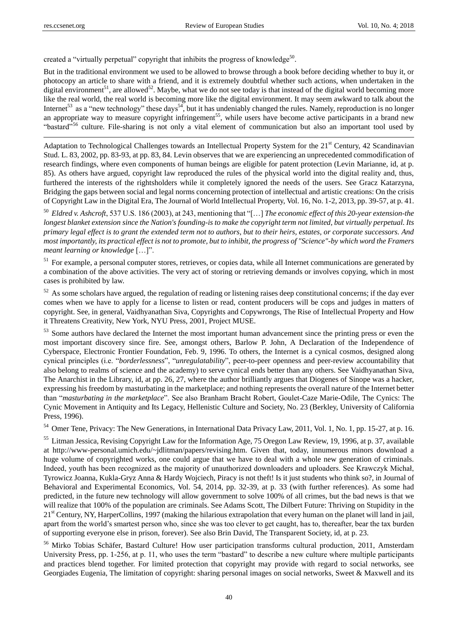created a "virtually perpetual" copyright that inhibits the progress of knowledge<sup>50</sup>.

But in the traditional environment we used to be allowed to browse through a book before deciding whether to buy it, or photocopy an article to share with a friend, and it is extremely doubtful whether such actions, when undertaken in the digital environment<sup>51</sup>, are allowed<sup>52</sup>. Maybe, what we do not see today is that instead of the digital world becoming more like the real world, the real world is becoming more like the digital environment. It may seem awkward to talk about the Internet<sup>53</sup> as a "new technology" these days<sup>54</sup>, but it has undeniably changed the rules. Namely, reproduction is no longer an appropriate way to measure copyright infringement<sup>55</sup>, while users have become active participants in a brand new "bastard"<sup>56</sup> culture. File-sharing is not only a vital element of communication but also an important tool used by

Adaptation to Technological Challenges towards an Intellectual Property System for the 21<sup>st</sup> Century, 42 Scandinavian Stud. L. 83, 2002, pp. 83-93, at pp. 83, 84. Levin observes that we are experiencing an unprecedented commodification of research findings, where even components of human beings are eligible for patent protection (Levin Marianne, id, at p. 85). As others have argued, copyright law reproduced the rules of the physical world into the digital reality and, thus, furthered the interests of the rightsholders while it completely ignored the needs of the users. See Gracz Katarzyna, Bridging the gaps between social and legal norms concerning protection of intellectual and artistic creations: On the crisis of Copyright Law in the Digital Era, The Journal of World Intellectual Property, Vol. 16, No. 1-2, 2013, pp. 39-57, at p. 41.

<sup>50</sup> *Eldred v. Ashcroft*, 537 U.S. 186 (2003), at 243, mentioning that "[…] *The economic effect of this 20-year extension-the longest blanket extension since the Nation's founding-is to make the copyright term not limited, but virtually perpetual. Its primary legal effect is to grant the extended term not to authors, but to their heirs, estates, or corporate successors. And most importantly, its practical effect is not to promote, but to inhibit, the progress of "Science"-by which word the Framers meant learning or knowledge* […]".

<sup>51</sup> For example, a personal computer stores, retrieves, or copies data, while all Internet communications are generated by a combination of the above activities. The very act of storing or retrieving demands or involves copying, which in most cases is prohibited by law.

 $52$  As some scholars have argued, the regulation of reading or listening raises deep constitutional concerns; if the day ever comes when we have to apply for a license to listen or read, content producers will be cops and judges in matters of copyright. See, in general, Vaidhyanathan Siva, Copyrights and Copywrongs, The Rise of Intellectual Property and How it Threatens Creativity, New York, NYU Press, 2001, Project MUSE.

<sup>53</sup> Some authors have declared the Internet the most important human advancement since the printing press or even the most important discovery since fire. See, amongst others, Barlow P. John, A Declaration of the Independence of Cyberspace, Electronic Frontier Foundation, Feb. 9, 1996. To others, the Internet is a cynical cosmos, designed along cynical principles (i.e. "*borderlessness*", "*unregulatability*", peer-to-peer openness and peer-review accountability that also belong to realms of science and the academy) to serve cynical ends better than any others. See Vaidhyanathan Siva, The Anarchist in the Library, id, at pp. 26, 27, where the author brilliantly argues that Diogenes of Sinope was a hacker, expressing his freedom by masturbating in the marketplace; and nothing represents the overall nature of the Internet better than "*masturbating in the marketplace*". See also Branham Bracht Robert, Goulet-Caze Marie-Odile, The Cynics: The Cynic Movement in Antiquity and Its Legacy, Hellenistic Culture and Society, No. 23 (Berkley, University of California Press, 1996).

<sup>54</sup> Omer Tene, Privacy: The New Generations, in International Data Privacy Law, 2011, Vol. 1, No. 1, pp. 15-27, at p. 16.

<sup>55</sup> Litman Jessica, Revising Copyright Law for the Information Age, 75 Oregon Law Review, 19, 1996, at p. 37, available at http://www-personal.umich.edu/~jdlitman/papers/revising.htm. Given that, today, innumerous minors download a huge volume of copyrighted works, one could argue that we have to deal with a whole new generation of criminals. Indeed, youth has been recognized as the majority of unauthorized downloaders and uploaders. See Krawczyk Michał, Tyrowicz Joanna, Kukla-Gryz Anna & Hardy Wojciech, Piracy is not theft! Is it just students who think so?, in Journal of Behavioral and Experimental Economics, Vol. 54, 2014, pp. 32-39, at p. 33 (with further references). As some had predicted, in the future new technology will allow government to solve 100% of all crimes, but the bad news is that we will realize that 100% of the population are criminals. See Adams Scott, The Dilbert Future: Thriving on Stupidity in the 21<sup>st</sup> Century, NY, HarperCollins, 1997 (making the hilarious extrapolation that every human on the planet will land in jail, apart from the world's smartest person who, since she was too clever to get caught, has to, thereafter, bear the tax burden of supporting everyone else in prison, forever). See also Brin David, The Transparent Society, id, at p. 23.

<sup>56</sup> Mirko Tobias Schäfer, Bastard Culture! How user participation transforms cultural production, 2011, Amsterdam University Press, pp. 1-256, at p. 11, who uses the term "bastard" to describe a new culture where multiple participants and practices blend together. For limited protection that copyright may provide with regard to social networks, see Georgiades Eugenia, The limitation of copyright: sharing personal images on social networks, Sweet & Maxwell and its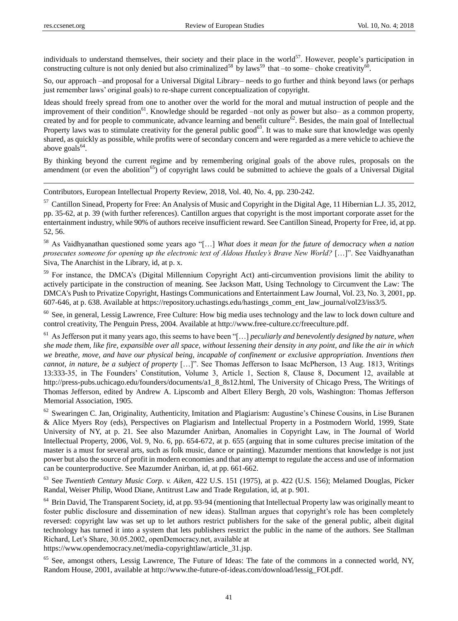-

individuals to understand themselves, their society and their place in the world $57$ . However, people's participation in constructing culture is not only denied but also criminalized<sup>58</sup> by laws<sup>59</sup> that -to some- choke creativity<sup>60</sup>.

So, our approach –and proposal for a Universal Digital Library– needs to go further and think beyond laws (or perhaps just remember laws' original goals) to re-shape current conceptualization of copyright.

Ideas should freely spread from one to another over the world for the moral and mutual instruction of people and the improvement of their condition<sup>61</sup>. Knowledge should be regarded –not only as power but also– as a common property, created by and for people to communicate, advance learning and benefit culture<sup> $\bar{62}$ </sup>. Besides, the main goal of Intellectual Property laws was to stimulate creativity for the general public good<sup>63</sup>. It was to make sure that knowledge was openly shared, as quickly as possible, while profits were of secondary concern and were regarded as a mere vehicle to achieve the above goals<sup>64</sup>.

By thinking beyond the current regime and by remembering original goals of the above rules, proposals on the amendment (or even the abolition<sup>65</sup>) of copyright laws could be submitted to achieve the goals of a Universal Digital

Contributors, European Intellectual Property Review, 2018, Vol. 40, No. 4, pp. 230-242.

<sup>57</sup> Cantillon Sinead, Property for Free: An Analysis of Music and Copyright in the Digital Age, 11 Hibernian L.J. 35, 2012, pp. 35-62, at p. 39 (with further references). Cantillon argues that copyright is the most important corporate asset for the entertainment industry, while 90% of authors receive insufficient reward. See Cantillon Sinead, Property for Free, id, at pp. 52, 56.

<sup>58</sup> As Vaidhyanathan questioned some years ago "[…] *What does it mean for the future of democracy when a nation prosecutes someone for opening up the electronic text of Aldous Huxley's Brave New World?* [...]". See Vaidhyanathan Siva, The Anarchist in the Library, id, at p. x.

<sup>59</sup> For instance, the DMCA's (Digital Millennium Copyright Act) anti-circumvention provisions limit the ability to actively participate in the construction of meaning. See Jackson Matt, Using Technology to Circumvent the Law: The DMCA's Push to Privatize Copyright, Hastings Communications and Entertainment Law Journal, Vol. 23, No. 3, 2001, pp. 607-646, at p. 638. Available at https://repository.uchastings.edu/hastings\_comm\_ent\_law\_journal/vol23/iss3/5.

<sup>60</sup> See, in general, Lessig Lawrence, Free Culture: How big media uses technology and the law to lock down culture and control creativity, The Penguin Press, 2004. Available at http://www.free-culture.cc/freeculture.pdf.

<sup>61</sup> As Jefferson put it many years ago, this seems to have been "[…] *peculiarly and benevolently designed by nature, when she made them, like fire, expansible over all space, without lessening their density in any point, and like the air in which we breathe, move, and have our physical being, incapable of confinement or exclusive appropriation. Inventions then cannot, in nature, be a subject of property* […]". See Thomas Jefferson to Isaac McPherson, 13 Aug. 1813, Writings 13:333-35, in The Founders' Constitution, Volume 3, Article 1, Section 8, Clause 8, Document 12, available at http://press-pubs.uchicago.edu/founders/documents/a1\_8\_8s12.html, The University of Chicago Press, The Writings of Thomas Jefferson, edited by Andrew A. Lipscomb and Albert Ellery Bergh, 20 vols, Washington: Thomas Jefferson Memorial Association, 1905.

 $62$  Swearingen C. Jan, Originality, Authenticity, Imitation and Plagiarism: Augustine's Chinese Cousins, in Lise Buranen & Alice Myers Roy (eds), Perspectives on Plagiarism and Intellectual Property in a Postmodern World, 1999, State University of NY, at p. 21. See also Mazumder Anirban, Anomalies in Copyright Law, in The Journal of World Intellectual Property, 2006, Vol. 9, No. 6, pp. 654-672, at p. 655 (arguing that in some cultures precise imitation of the master is a must for several arts, such as folk music, dance or painting). Mazumder mentions that knowledge is not just power but also the source of profit in modern economies and that any attempt to regulate the access and use of information can be counterproductive. See Mazumder Anirban, id, at pp. 661-662.

<sup>63</sup> See *Twentieth Century Music Corp. v. Aiken*, 422 U.S. 151 (1975), at p. 422 (U.S. 156); Melamed Douglas, Picker Randal, Weiser Philip, Wood Diane, Antitrust Law and Trade Regulation, id, at p. 901.

<sup>64</sup> Brin David, The Transparent Society, id, at pp. 93-94 (mentioning that Intellectual Property law was originally meant to foster public disclosure and dissemination of new ideas). Stallman argues that copyright's role has been completely reversed: copyright law was set up to let authors restrict publishers for the sake of the general public, albeit digital technology has turned it into a system that lets publishers restrict the public in the name of the authors. See Stallman Richard, Let's Share, 30.05.2002, openDemocracy.net, available at

https://www.opendemocracy.net/media-copyrightlaw/article\_31.jsp.

<sup>65</sup> See, amongst others, Lessig Lawrence, The Future of Ideas: The fate of the commons in a connected world, NY, Random House, 2001, available at http://www.the-future-of-ideas.com/download/lessig\_FOI.pdf.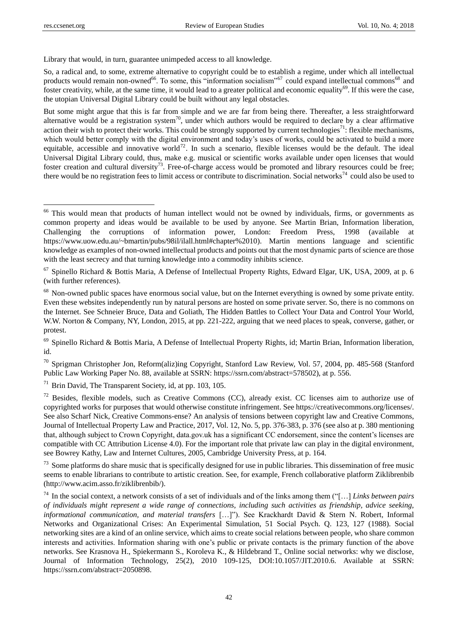Library that would, in turn, guarantee unimpeded access to all knowledge.

So, a radical and, to some, extreme alternative to copyright could be to establish a regime, under which all intellectual products would remain non-owned<sup>66</sup>. To some, this "information socialism"<sup>67</sup> could expand intellectual commons<sup>68</sup> and foster creativity, while, at the same time, it would lead to a greater political and economic equality<sup>69</sup>. If this were the case, the utopian Universal Digital Library could be built without any legal obstacles.

But some might argue that this is far from simple and we are far from being there. Thereafter, a less straightforward alternative would be a registration system<sup>70</sup>, under which authors would be required to declare by a clear affirmative action their wish to protect their works. This could be strongly supported by current technologies<sup>71</sup>: flexible mechanisms, which would better comply with the digital environment and today's uses of works, could be activated to build a more equitable, accessible and innovative world<sup>72</sup>. In such a scenario, flexible licenses would be the default. The ideal Universal Digital Library could, thus, make e.g. musical or scientific works available under open licenses that would foster creation and cultural diversity<sup>73</sup>. Free-of-charge access would be promoted and library resources could be free; there would be no registration fees to limit access or contribute to discrimination. Social networks<sup>74</sup> could also be used to

<sup>70</sup> Sprigman Christopher Jon, Reform(aliz)ing Copyright, Stanford Law Review, Vol. 57, 2004, pp. 485-568 (Stanford Public Law Working Paper No. 88, available at SSRN: https://ssrn.com/abstract=578502), at p. 556.

<sup>71</sup> Brin David, The Transparent Society, id, at pp. 103, 105.

<sup>72</sup> Besides, flexible models, such as Creative Commons (CC), already exist. CC licenses aim to authorize use of copyrighted works for purposes that would otherwise constitute infringement. See https://creativecommons.org/licenses/. See also Scharf Nick, Creative Commons-ense? An analysis of tensions between copyright law and Creative Commons, Journal of Intellectual Property Law and Practice, 2017, Vol. 12, No. 5, pp. 376-383, p. 376 (see also at p. 380 mentioning that, although subject to Crown Copyright, data.gov.uk has a significant CC endorsement, since the content's licenses are compatible with CC Attribution License 4.0). For the important role that private law can play in the digital environment, see Bowrey Kathy, Law and Internet Cultures, 2005, Cambridge University Press, at p. 164.

 $<sup>73</sup>$  Some platforms do share music that is specifically designed for use in public libraries. This dissemination of free music</sup> seems to enable librarians to contribute to artistic creation. See, for example, French collaborative platform Ziklibrenbib (http://www.acim.asso.fr/ziklibrenbib/).

<sup>&</sup>lt;sup>66</sup> This would mean that products of human intellect would not be owned by individuals, firms, or governments as common property and ideas would be available to be used by anyone. See Martin Brian, Information liberation, Challenging the corruptions of information power, London: Freedom Press, 1998 (available at https://www.uow.edu.au/~bmartin/pubs/98il/ilall.html#chapter%2010). Martin mentions language and scientific knowledge as examples of non-owned intellectual products and points out that the most dynamic parts of science are those with the least secrecy and that turning knowledge into a commodity inhibits science.

<sup>67</sup> Spinello Richard & Bottis Maria, A Defense of Intellectual Property Rights, Edward Elgar, UK, USA, 2009, at p. 6 (with further references).

<sup>&</sup>lt;sup>68</sup> Non-owned public spaces have enormous social value, but on the Internet everything is owned by some private entity. Even these websites independently run by natural persons are hosted on some private server. So, there is no commons on the Internet. See Schneier Bruce, Data and Goliath, The Hidden Battles to Collect Your Data and Control Your World, W.W. Norton & Company, NY, London, 2015, at pp. 221-222, arguing that we need places to speak, converse, gather, or protest.

<sup>69</sup> Spinello Richard & Bottis Maria, A Defense of Intellectual Property Rights, id; Martin Brian, Information liberation, id.

<sup>74</sup> In the social context, a network consists of a set of individuals and of the links among them ("[…] *Links between pairs of individuals might represent a wide range of connections, including such activities as friendship, advice seeking, informational communication, and material transfers* […]"). See Krackhardt David & Stern N. Robert, Informal Networks and Organizational Crises: An Experimental Simulation, 51 Social Psych. Q. 123, 127 (1988). Social networking sites are a kind of an online service, which aims to create social relations between people, who share common interests and activities. Information sharing with one's public or private contacts is the primary function of the above networks. See Krasnova H., Spiekermann S., Koroleva K., & Hildebrand T., Online social networks: why we disclose, Journal of Information Technology, 25(2), 2010 109-125, DOI:10.1057/JIT.2010.6. Available at SSRN: https://ssrn.com/abstract=2050898.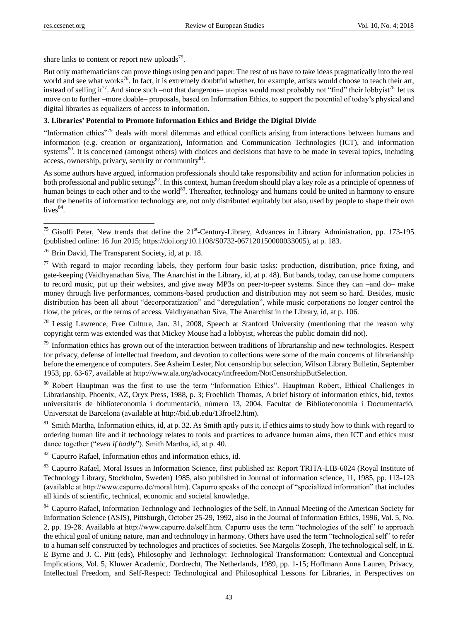share links to content or report new uploads<sup>75</sup>.

But only mathematicians can prove things using pen and paper. The rest of us have to take ideas pragmatically into the real world and see what works<sup>76</sup>. In fact, it is extremely doubtful whether, for example, artists would choose to teach their art, instead of selling it<sup>77</sup>. And since such –not that dangerous– utopias would most probably not "find" their lobbyist<sup>78</sup> let us move on to further –more doable– proposals, based on Information Ethics, to support the potential of today's physical and digital libraries as equalizers of access to information.

## **3. Libraries' Potential to Promote Information Ethics and Bridge the Digital Divide**

"Information ethics"<sup>79</sup> deals with moral dilemmas and ethical conflicts arising from interactions between humans and information (e.g. creation or organization), Information and Communication Technologies (ICT), and information systems<sup>80</sup>. It is concerned (amongst others) with choices and decisions that have to be made in several topics, including access, ownership, privacy, security or community<sup>81</sup>.

As some authors have argued, information professionals should take responsibility and action for information policies in both professional and public settings<sup>82</sup>. In this context, human freedom should play a key role as a principle of openness of human beings to each other and to the world<sup>83</sup>. Thereafter, technology and humans could be united in harmony to ensure that the benefits of information technology are, not only distributed equitably but also, used by people to shape their own  $lives^{84}$ .

<sup>78</sup> Lessig Lawrence, Free Culture, Jan. 31, 2008, Speech at Stanford University (mentioning that the reason why copyright term was extended was that Mickey Mouse had a lobbyist, whereas the public domain did not).

 $<sup>79</sup>$  Information ethics has grown out of the interaction between traditions of librarianship and new technologies. Respect</sup> for privacy, defense of intellectual freedom, and devotion to collections were some of the main concerns of librarianship before the emergence of computers. See Asheim Lester, Not censorship but selection, Wilson Library Bulletin, September 1953, pp. 63-67, available at http://www.ala.org/advocacy/intfreedom/NotCensorshipButSelection.

<sup>80</sup> Robert Hauptman was the first to use the term "Information Ethics". Hauptman Robert, Ethical Challenges in Librarianship, Phoenix, AZ, Oryx Press, 1988, p. 3; Froehlich Thomas, A brief history of information ethics, bid, textos universitaris de biblioteconomia i documentació, número 13, 2004, Facultat de Biblioteconomia i Documentació, Universitat de Barcelona (available at http://bid.ub.edu/13froel2.htm).

 $81$  Smith Martha, Information ethics, id, at p. 32. As Smith aptly puts it, if ethics aims to study how to think with regard to ordering human life and if technology relates to tools and practices to advance human aims, then ICT and ethics must dance together ("*even if badly*"). Smith Martha, id, at p. 40.

<sup>82</sup> Capurro Rafael, Information ethos and information ethics, id.

<sup>83</sup> Capurro Rafael, Moral Issues in Information Science, first published as: Report TRITA-LIB-6024 (Royal Institute of Technology Library, Stockholm, Sweden) 1985, also published in Journal of information science, 11, 1985, pp. 113-123 (available at http://www.capurro.de/moral.htm). Capurro speaks of the concept of "specialized information" that includes all kinds of scientific, technical, economic and societal knowledge.

<sup>84</sup> Capurro Rafael, Information Technology and Technologies of the Self, in Annual Meeting of the American Society for Information Science (ASIS), Pittsburgh, October 25-29, 1992, also in the Journal of Information Ethics, 1996, Vol. 5, No. 2, pp. 19-28. Available at http://www.capurro.de/self.htm. Capurro uses the term "technologies of the self" to approach the ethical goal of uniting nature, man and technology in harmony. Others have used the term "technological self" to refer to a human self constructed by technologies and practices of societies. See Margolis Zoseph, The technological self, in E. E Byrne and J. C. Pitt (eds), Philosophy and Technology: Technological Transformation: Contextual and Conceptual Implications, Vol. 5, Kluwer Academic, Dordrecht, The Netherlands, 1989, pp. 1-15; Hoffmann Anna Lauren, Privacy, Intellectual Freedom, and Self-Respect: Technological and Philosophical Lessons for Libraries, in Perspectives on

<sup>&</sup>lt;sup>75</sup> Gisolfi Peter, New trends that define the  $21<sup>st</sup>$ -Century-Library, Advances in Library Administration, pp. 173-195 (published online: 16 Jun 2015; https://doi.org/10.1108/S0732-067120150000033005), at p. 183.

<sup>76</sup> Brin David, The Transparent Society, id, at p. 18.

 $77$  With regard to major recording labels, they perform four basic tasks: production, distribution, price fixing, and gate-keeping (Vaidhyanathan Siva, The Anarchist in the Library, id, at p. 48). But bands, today, can use home computers to record music, put up their websites, and give away MP3s on peer-to-peer systems. Since they can –and do– make money through live performances, commons-based production and distribution may not seem so hard. Besides, music distribution has been all about "decorporatization" and "deregulation", while music corporations no longer control the flow, the prices, or the terms of access. Vaidhyanathan Siva, The Anarchist in the Library, id, at p. 106.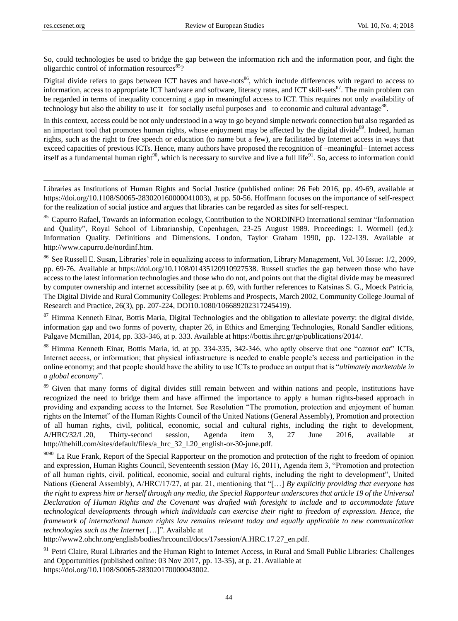So, could technologies be used to bridge the gap between the information rich and the information poor, and fight the oligarchic control of information resources $85$ ?

Digital divide refers to gaps between ICT haves and have-nots<sup>86</sup>, which include differences with regard to access to information, access to appropriate ICT hardware and software, literacy rates, and ICT skill-sets $^{87}$ . The main problem can be regarded in terms of inequality concerning a gap in meaningful access to ICT. This requires not only availability of technology but also the ability to use it –for socially useful purposes and– to economic and cultural advantage $^{88}.$ 

In this context, access could be not only understood in a way to go beyond simple network connection but also regarded as an important tool that promotes human rights, whose enjoyment may be affected by the digital divide<sup>89</sup>. Indeed, human rights, such as the right to free speech or education (to name but a few), are facilitated by Internet access in ways that exceed capacities of previous ICTs. Hence, many authors have proposed the recognition of –meaningful– Internet access itself as a fundamental human right $90$ , which is necessary to survive and live a full life $91$ . So, access to information could

Libraries as Institutions of Human Rights and Social Justice (published online: 26 Feb 2016, pp. 49-69, available at https://doi.org/10.1108/S0065-283020160000041003), at pp. 50-56. Hoffmann focuses on the importance of self-respect for the realization of social justice and argues that libraries can be regarded as sites for self-respect.

<sup>85</sup> Capurro Rafael, Towards an information ecology, Contribution to the NORDINFO International seminar "Information and Quality", Royal School of Librarianship, Copenhagen, 23-25 August 1989. Proceedings: I. Wormell (ed.): Information Quality. Definitions and Dimensions. London, Taylor Graham 1990, pp. 122-139. Available at http://www.capurro.de/nordinf.htm.

<sup>86</sup> See Russell E. Susan, Libraries' role in equalizing access to information, Library Management, Vol. 30 Issue: 1/2, 2009, pp. 69-76. Available at https://doi.org/10.1108/01435120910927538. Russell studies the gap between those who have access to the latest information technologies and those who do not, and points out that the digital divide may be measured by computer ownership and internet accessibility (see at p. 69, with further references to Katsinas S. G., Moeck Patricia, The Digital Divide and Rural Community Colleges: Problems and Prospects, March 2002, Community College Journal of Research and Practice, 26(3), pp. 207-224, DOI10.1080/106689202317245419).

 $87$  Himma Kenneth Einar, Bottis Maria, Digital Technologies and the obligation to alleviate poverty: the digital divide, information gap and two forms of poverty, chapter 26, in Ethics and Emerging Technologies, Ronald Sandler editions, Palgave Mcmillan, 2014, pp. 333-346, at p. 333. Available at https://bottis.ihrc.gr/gr/publications/2014/.

<sup>88</sup> Himma Kenneth Einar, Bottis Maria, id, at pp. 334-335, 342-346, who aptly observe that one "*cannot eat*" ICTs, Internet access, or information; that physical infrastructure is needed to enable people's access and participation in the online economy; and that people should have the ability to use ICTs to produce an output that is "*ultimately marketable in a global economy*".

<sup>89</sup> Given that many forms of digital divides still remain between and within nations and people, institutions have recognized the need to bridge them and have affirmed the importance to apply a human rights-based approach in providing and expanding access to the Internet. See Resolution "The promotion, protection and enjoyment of human rights on the Internet" of the Human Rights Council of the United Nations (General Assembly), Promotion and protection of all human rights, civil, political, economic, social and cultural rights, including the right to development, A/HRC/32/L.20, Thirty-second session, Agenda item 3, 27 June 2016, available at http://thehill.com/sites/default/files/a\_hrc\_32\_l.20\_english-or-30-june.pdf.

9090 La Rue Frank, Report of the Special Rapporteur on the promotion and protection of the right to freedom of opinion and expression, Human Rights Council, Seventeenth session (May 16, 2011), Agenda item 3, "Promotion and protection of all human rights, civil, political, economic, social and cultural rights, including the right to development", United Nations (General Assembly), A/HRC/17/27, at par. 21, mentioning that "[…] *By explicitly providing that everyone has the right to express him or herself through any media, the Special Rapporteur underscores that article 19 of the Universal Declaration of Human Rights and the Covenant was drafted with foresight to include and to accommodate future technological developments through which individuals can exercise their right to freedom of expression. Hence, the framework of international human rights law remains relevant today and equally applicable to new communication technologies such as the Internet* […]". Available at

http://www2.ohchr.org/english/bodies/hrcouncil/docs/17session/A.HRC.17.27\_en.pdf.

<sup>91</sup> Petri Claire, Rural Libraries and the Human Right to Internet Access, in Rural and Small Public Libraries: Challenges and Opportunities (published online: 03 Nov 2017, pp. 13-35), at p. 21. Available at https://doi.org/10.1108/S0065-283020170000043002.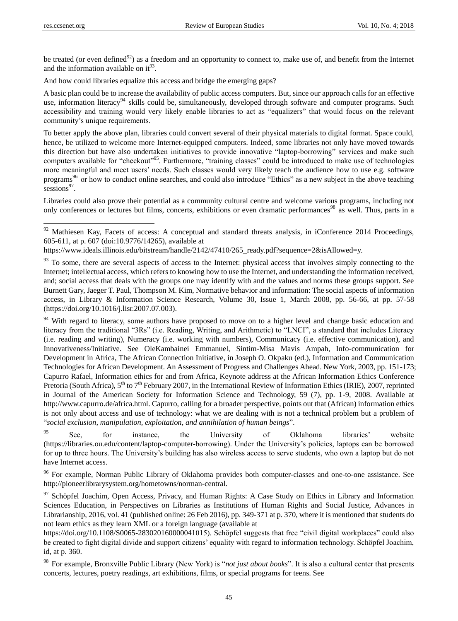be treated (or even defined<sup>92</sup>) as a freedom and an opportunity to connect to, make use of, and benefit from the Internet and the information available on  $it^{93}$ .

And how could libraries equalize this access and bridge the emerging gaps?

A basic plan could be to increase the availability of public access computers. But, since our approach calls for an effective use, information literacy<sup>94</sup> skills could be, simultaneously, developed through software and computer programs. Such accessibility and training would very likely enable libraries to act as "equalizers" that would focus on the relevant community's unique requirements.

To better apply the above plan, libraries could convert several of their physical materials to digital format. Space could, hence, be utilized to welcome more Internet-equipped computers. Indeed, some libraries not only have moved towards this direction but have also undertaken initiatives to provide innovative "laptop-borrowing" services and make such computers available for "checkout"<sup>95</sup>. Furthermore, "training classes" could be introduced to make use of technologies more meaningful and meet users' needs. Such classes would very likely teach the audience how to use e.g. software programs<sup>96</sup> or how to conduct online searches, and could also introduce "Ethics" as a new subject in the above teaching sessions<sup>97</sup>.

Libraries could also prove their potential as a community cultural centre and welcome various programs, including not only conferences or lectures but films, concerts, exhibitions or even dramatic performances<sup>98</sup> as well. Thus, parts in a

https://www.ideals.illinois.edu/bitstream/handle/2142/47410/265\_ready.pdf?sequence=2&isAllowed=y.

<sup>93</sup> To some, there are several aspects of access to the Internet: physical access that involves simply connecting to the Internet; intellectual access, which refers to knowing how to use the Internet, and understanding the information received, and; social access that deals with the groups one may identify with and the values and norms these groups support. See Burnett Gary, Jaeger T. Paul, Thompson M. Kim, Normative behavior and information: The social aspects of information access, in Library & Information Science Research, Volume 30, Issue 1, March 2008, pp. 56-66, at pp. 57-58 (https://doi.org/10.1016/j.lisr.2007.07.003).

<sup>94</sup> With regard to literacy, some authors have proposed to move on to a higher level and change basic education and literacy from the traditional "3Rs" (i.e. Reading, Writing, and Arithmetic) to "LNCI", a standard that includes Literacy (i.e. reading and writing), Numeracy (i.e. working with numbers), Communicacy (i.e. effective communication), and Innovativeness/Initiative. See OleKambainei Emmanuel, Sintim-Misa Mavis Ampah, Info-communication for Development in Africa, The African Connection Initiative, in Joseph O. Okpaku (ed.), Information and Communication Technologies for African Development. An Assessment of Progress and Challenges Ahead. New York, 2003, pp. 151-173; Capurro Rafael, Information ethics for and from Africa, Keynote address at the African Information Ethics Conference Pretoria (South Africa), 5<sup>th</sup> to 7<sup>th</sup> February 2007, in the International Review of Information Ethics (IRIE), 2007, reprinted in Journal of the American Society for Information Science and Technology, 59 (7), pp. 1-9, 2008. Available at http://www.capurro.de/africa.html. Capurro, calling for a broader perspective, points out that (African) information ethics is not only about access and use of technology: what we are dealing with is not a technical problem but a problem of "*social exclusion, manipulation, exploitation, and annihilation of human beings*".

<sup>95</sup> See, for instance, the University of Oklahoma libraries' website (https://libraries.ou.edu/content/laptop-computer-borrowing). Under the University's policies, laptops can be borrowed for up to three hours. The University's building has also wireless access to serve students, who own a laptop but do not have Internet access.

<sup>96</sup> For example, Norman Public Library of Oklahoma provides both computer-classes and one-to-one assistance. See http://pioneerlibrarysystem.org/hometowns/norman-central.

<sup>97</sup> Schöpfel Joachim, Open Access, Privacy, and Human Rights: A Case Study on Ethics in Library and Information Sciences Education, in Perspectives on Libraries as Institutions of Human Rights and Social Justice, Advances in Librarianship, 2016, vol. 41 (published online: 26 Feb 2016), pp. 349-371 at p. 370, where it is mentioned that students do not learn ethics as they learn XML or a foreign language (available at

https://doi.org/10.1108/S0065-283020160000041015). Schöpfel suggests that free "civil digital workplaces" could also be created to fight digital divide and support citizens' equality with regard to information technology. Schöpfel Joachim, id, at p. 360.

<sup>98</sup> For example, Bronxville Public Library (New York) is "*not just about books*". It is also a cultural center that presents concerts, lectures, poetry readings, art exhibitions, films, or special programs for teens. See

<sup>&</sup>lt;sup>92</sup> Mathiesen Kay, Facets of access: A conceptual and standard threats analysis, in iConference 2014 Proceedings, 605-611, at p. 607 (doi:10.9776/14265), available at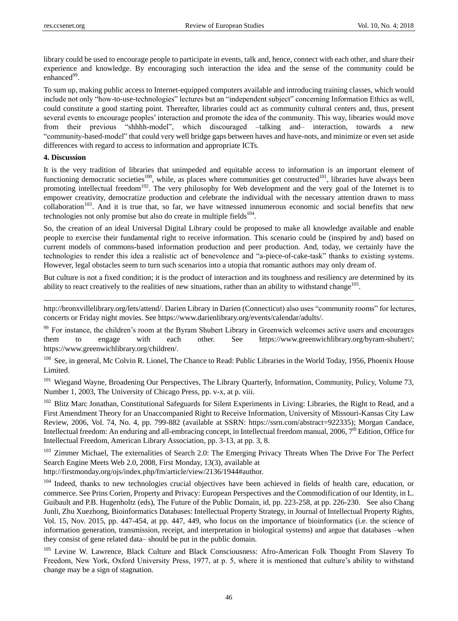library could be used to encourage people to participate in events, talk and, hence, connect with each other, and share their experience and knowledge. By encouraging such interaction the idea and the sense of the community could be enhanced<sup>99</sup>.

To sum up, making public access to Internet-equipped computers available and introducing training classes, which would include not only "how-to-use-technologies" lectures but an "independent subject" concerning Information Ethics as well, could constitute a good starting point. Thereafter, libraries could act as community cultural centers and, thus, present several events to encourage peoples' interaction and promote the idea of the community. This way, libraries would move from their previous "shhhh-model", which discouraged –talking and– interaction, towards a new "community-based-model" that could very well bridge gaps between haves and have-nots, and minimize or even set aside differences with regard to access to information and appropriate ICTs.

## **4. Discussion**

 $\overline{a}$ 

It is the very tradition of libraries that unimpeded and equitable access to information is an important element of functioning democratic societies<sup>100</sup>, while, as places where communities get constructed<sup>101</sup>, libraries have always been promoting intellectual freedom<sup>102</sup>. The very philosophy for Web development and the very goal of the Internet is to empower creativity, democratize production and celebrate the individual with the necessary attention drawn to mass  $collaboration<sup>103</sup>$ . And it is true that, so far, we have witnessed innumerous economic and social benefits that new technologies not only promise but also do create in multiple fields $104$ .

So, the creation of an ideal Universal Digital Library could be proposed to make all knowledge available and enable people to exercise their fundamental right to receive information. This scenario could be (inspired by and) based on current models of commons-based information production and peer production. And, today, we certainly have the technologies to render this idea a realistic act of benevolence and "a-piece-of-cake-task" thanks to existing systems. However, legal obstacles seem to turn such scenarios into a utopia that romantic authors may only dream of.

But culture is not a fixed condition; it is the product of interaction and its toughness and resiliency are determined by its ability to react creatively to the realities of new situations, rather than an ability to withstand change<sup>105</sup>.

http://bronxvillelibrary.org/lets/attend/. Darien Library in Darien (Connecticut) also uses "community rooms" for lectures, concerts or Friday night movies. See https://www.darienlibrary.org/events/calendar/adults/.

<sup>99</sup> For instance, the children's room at the Byram Shubert Library in Greenwich welcomes active users and encourages them to engage with each other. See https://www.greenwichlibrary.org/byram-shubert/; https://www.greenwichlibrary.org/children/.

 $100$  See, in general, Mc Colvin R. Lionel, The Chance to Read: Public Libraries in the World Today, 1956, Phoenix House Limited.

<sup>101</sup> Wiegand Wayne, Broadening Our Perspectives, The Library Quarterly, Information, Community, Policy, Volume 73, Number 1, 2003, The University of Chicago Press, pp. v-x, at p. viii.

<sup>102</sup> Blitz Marc Jonathan, Constitutional Safeguards for Silent Experiments in Living: Libraries, the Right to Read, and a First Amendment Theory for an Unaccompanied Right to Receive Information, University of Missouri-Kansas City Law Review, 2006, Vol. 74, No. 4, pp. 799-882 (available at SSRN: https://ssrn.com/abstract=922335); Morgan Candace, Intellectual freedom: An enduring and all-embracing concept, in Intellectual freedom manual, 2006, 7<sup>th</sup> Edition, Office for Intellectual Freedom, American Library Association, pp. 3-13, at pp. 3, 8.

<sup>103</sup> Zimmer Michael, The externalities of Search 2.0: The Emerging Privacy Threats When The Drive For The Perfect Search Engine Meets Web 2.0, 2008, First Monday, 13(3), available at

http://firstmonday.org/ojs/index.php/fm/article/view/2136/1944#author.

<sup>104</sup> Indeed, thanks to new technologies crucial objectives have been achieved in fields of health care, education, or commerce. See Prins Corien, Property and Privacy: European Perspectives and the Commodification of our Identity, in L. Guibault and P.B. Hugenholtz (eds), The Future of the Public Domain, id, pp. 223-258, at pp. 226-230. See also Chang Junli, Zhu Xuezhong, Bioinformatics Databases: Intellectual Property Strategy, in Journal of Intellectual Property Rights, Vol. 15, Nov. 2015, pp. 447-454, at pp. 447, 449, who focus on the importance of bioinformatics (i.e. the science of information generation, transmission, receipt, and interpretation in biological systems) and argue that databases –when they consist of gene related data– should be put in the public domain.

<sup>105</sup> Levine W. Lawrence, Black Culture and Black Consciousness: Afro-American Folk Thought From Slavery To Freedom, New York, Oxford University Press, 1977, at p. 5, where it is mentioned that culture's ability to withstand change may be a sign of stagnation.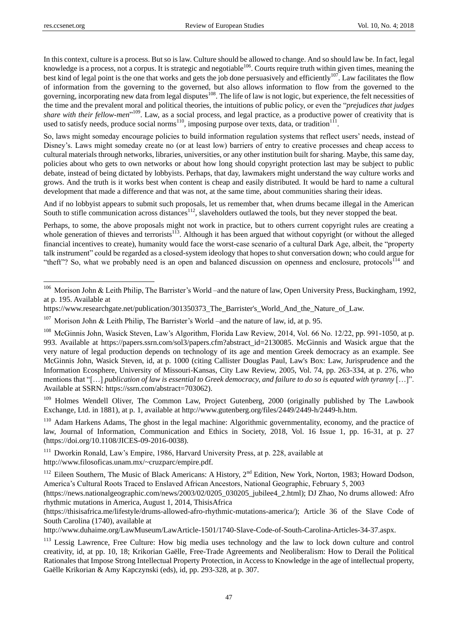$\overline{a}$ 

In this context, culture is a process. But so is law. Culture should be allowed to change. And so should law be. In fact, legal knowledge is a process, not a corpus. It is strategic and negotiable<sup>106</sup>. Courts require truth within given times, meaning the best kind of legal point is the one that works and gets the job done persuasively and efficiently<sup>107</sup>. Law facilitates the flow of information from the governing to the governed, but also allows information to flow from the governed to the governing, incorporating new data from legal disputes<sup>108</sup>. The life of law is not logic, but experience, the felt necessities of the time and the prevalent moral and political theories, the intuitions of public policy, or even the "*prejudices that judges*  share with their fellow-men<sup>"109</sup>. Law, as a social process, and legal practice, as a productive power of creativity that is used to satisfy needs, produce social norms<sup>110</sup>, imposing purpose over texts, data, or tradition<sup>11</sup> .

So, laws might someday encourage policies to build information regulation systems that reflect users' needs, instead of Disney's. Laws might someday create no (or at least low) barriers of entry to creative processes and cheap access to cultural materials through networks, libraries, universities, or any other institution built for sharing. Maybe, this same day, policies about who gets to own networks or about how long should copyright protection last may be subject to public debate, instead of being dictated by lobbyists. Perhaps, that day, lawmakers might understand the way culture works and grows. And the truth is it works best when content is cheap and easily distributed. It would be hard to name a cultural development that made a difference and that was not, at the same time, about communities sharing their ideas.

And if no lobbyist appears to submit such proposals, let us remember that, when drums became illegal in the American South to stifle communication across distances<sup>112</sup>, slaveholders outlawed the tools, but they never stopped the beat.

Perhaps, to some, the above proposals might not work in practice, but to others current copyright rules are creating a whole generation of thieves and terrorists<sup>113</sup>. Although it has been argued that without copyright (or without the alleged financial incentives to create), humanity would face the worst-case scenario of a cultural Dark Age, albeit, the "property talk instrument" could be regarded as a closed-system ideology that hopes to shut conversation down; who could argue for "theft"? So, what we probably need is an open and balanced discussion on openness and enclosure, protocols<sup>114</sup> and

<sup>109</sup> Holmes Wendell Oliver, The Common Law, Project Gutenberg, 2000 (originally published by The Lawbook Exchange, Ltd. in 1881), at p. 1, available at http://www.gutenberg.org/files/2449/2449-h/2449-h.htm.

<sup>110</sup> Adam Harkens Adams, The ghost in the legal machine: Algorithmic governmentality, economy, and the practice of law, Journal of Information, Communication and Ethics in Society, 2018, Vol. 16 Issue 1, pp. 16-31, at p. 27 (https://doi.org/10.1108/JICES-09-2016-0038).

<sup>111</sup> Dworkin Ronald, Law's Empire, 1986, Harvard University Press, at p. 228, available at http://www.filosoficas.unam.mx/~cruzparc/empire.pdf.

<sup>112</sup> Eileen Southern, The Music of Black Americans: A History,  $2<sup>nd</sup>$  Edition, New York, Norton, 1983; Howard Dodson, America's Cultural Roots Traced to Enslaved African Ancestors, National Geographic, February 5, 2003

(https://news.nationalgeographic.com/news/2003/02/0205\_030205\_jubilee4\_2.html); DJ Zhao, No drums allowed: Afro rhythmic mutations in America, August 1, 2014, ThisisAfrica

(https://thisisafrica.me/lifestyle/drums-allowed-afro-rhythmic-mutations-america/); Article 36 of the Slave Code of South Carolina (1740), available at

http://www.duhaime.org/LawMuseum/LawArticle-1501/1740-Slave-Code-of-South-Carolina-Articles-34-37.aspx.

<sup>&</sup>lt;sup>106</sup> Morison John & Leith Philip, The Barrister's World –and the nature of law, Open University Press, Buckingham, 1992, at p. 195. Available at

https://www.researchgate.net/publication/301350373\_The\_Barrister's\_World\_And\_the\_Nature\_of\_Law.

<sup>&</sup>lt;sup>107</sup> Morison John & Leith Philip, The Barrister's World –and the nature of law, id, at p. 95.

<sup>&</sup>lt;sup>108</sup> McGinnis John, Wasick Steven, Law's Algorithm, Florida Law Review, 2014, Vol. 66 No. 12/22, pp. 991-1050, at p. 993. Available at https://papers.ssrn.com/sol3/papers.cfm?abstract\_id=2130085. McGinnis and Wasick argue that the very nature of legal production depends on technology of its age and mention Greek democracy as an example. See McGinnis John, Wasick Steven, id, at p. 1000 (citing Callister Douglas Paul, Law's Box: Law, Jurisprudence and the Information Ecosphere, University of Missouri-Kansas, City Law Review, 2005, Vol. 74, pp. 263-334, at p. 276, who mentions that "[…] *publication of law is essential to Greek democracy, and failure to do so is equated with tyranny* […]". Available at SSRN: https://ssrn.com/abstract=703062).

<sup>&</sup>lt;sup>113</sup> Lessig Lawrence, Free Culture: How big media uses technology and the law to lock down culture and control creativity, id, at pp. 10, 18; Krikorian Gaëlle, Free-Trade Agreements and Neoliberalism: How to Derail the Political Rationales that Impose Strong Intellectual Property Protection, in Access to Knowledge in the age of intellectual property, Gaëlle Krikorian & Amy Kapczynski (eds), id, pp. 293-328, at p. 307.